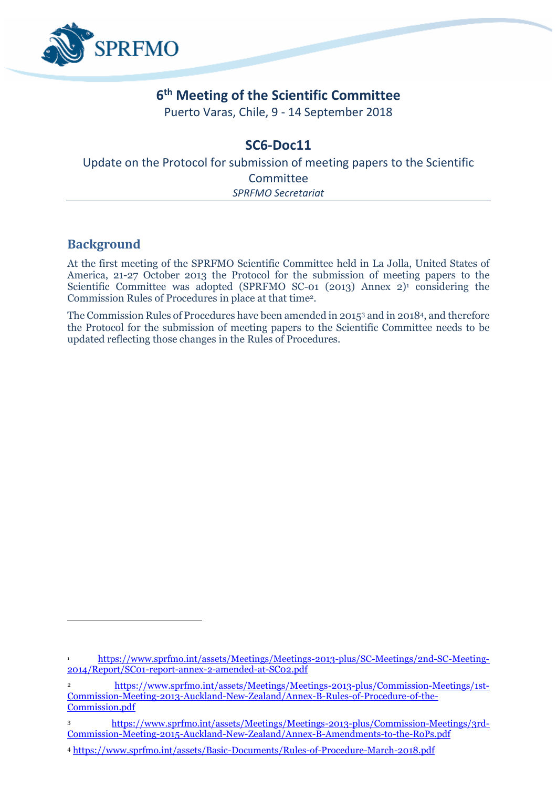

# **6 th Meeting of the Scientific Committee**

Puerto Varas, Chile, 9 - 14 September 2018

# **SC6-Doc11**

Update on the Protocol for submission of meeting papers to the Scientific Committee *SPRFMO Secretariat*

# **Background**

**.** 

At the first meeting of the SPRFMO Scientific Committee held in La Jolla, United States of America, 21-27 October 2013 the Protocol for the submission of meeting papers to the Scientific Committee was adopted (SPRFMO SC-01 (2013) Annex  $2$ <sup>1</sup> considering the Commission Rules of Procedures in place at that time<sup>2</sup> .

The Commission Rules of Procedures have been amended in 2015<sup>3</sup> and in 2018<sup>4</sup> , and therefore the Protocol for the submission of meeting papers to the Scientific Committee needs to be updated reflecting those changes in the Rules of Procedures.

<sup>1</sup> [https://www.sprfmo.int/assets/Meetings/Meetings-2013-plus/SC-Meetings/2nd-SC-Meeting-](https://www.sprfmo.int/assets/Meetings/Meetings-2013-plus/SC-Meetings/2nd-SC-Meeting-2014/Report/SC01-report-annex-2-amended-at-SC02.pdf)[2014/Report/SC01-report-annex-2-amended-at-SC02.pdf](https://www.sprfmo.int/assets/Meetings/Meetings-2013-plus/SC-Meetings/2nd-SC-Meeting-2014/Report/SC01-report-annex-2-amended-at-SC02.pdf)

<sup>2</sup> [https://www.sprfmo.int/assets/Meetings/Meetings-2013-plus/Commission-Meetings/1st-](https://www.sprfmo.int/assets/Meetings/Meetings-2013-plus/Commission-Meetings/1st-Commission-Meeting-2013-Auckland-New-Zealand/Annex-B-Rules-of-Procedure-of-the-Commission.pdf)[Commission-Meeting-2013-Auckland-New-Zealand/Annex-B-Rules-of-Procedure-of-the-](https://www.sprfmo.int/assets/Meetings/Meetings-2013-plus/Commission-Meetings/1st-Commission-Meeting-2013-Auckland-New-Zealand/Annex-B-Rules-of-Procedure-of-the-Commission.pdf)[Commission.pdf](https://www.sprfmo.int/assets/Meetings/Meetings-2013-plus/Commission-Meetings/1st-Commission-Meeting-2013-Auckland-New-Zealand/Annex-B-Rules-of-Procedure-of-the-Commission.pdf)

<sup>3</sup> [https://www.sprfmo.int/assets/Meetings/Meetings-2013-plus/Commission-Meetings/3rd-](https://www.sprfmo.int/assets/Meetings/Meetings-2013-plus/Commission-Meetings/3rd-Commission-Meeting-2015-Auckland-New-Zealand/Annex-B-Amendments-to-the-RoPs.pdf)[Commission-Meeting-2015-Auckland-New-Zealand/Annex-B-Amendments-to-the-RoPs.pdf](https://www.sprfmo.int/assets/Meetings/Meetings-2013-plus/Commission-Meetings/3rd-Commission-Meeting-2015-Auckland-New-Zealand/Annex-B-Amendments-to-the-RoPs.pdf)

<sup>4</sup> <https://www.sprfmo.int/assets/Basic-Documents/Rules-of-Procedure-March-2018.pdf>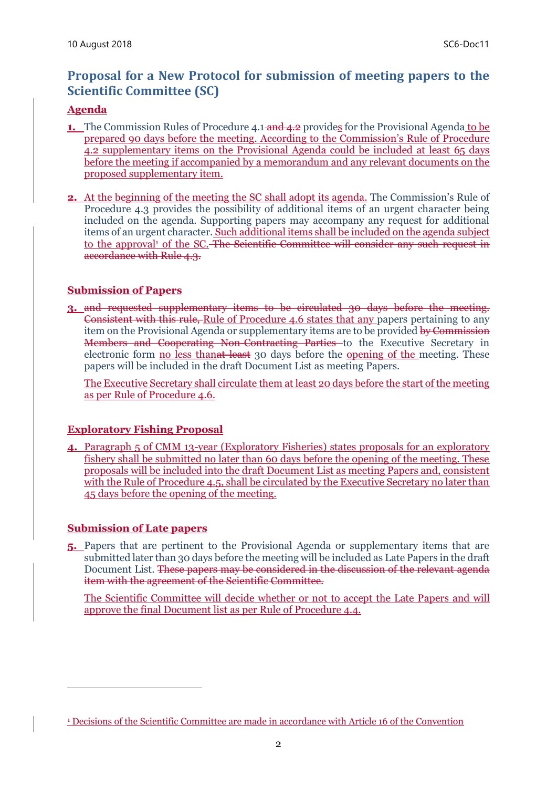# **Proposal for a New Protocol for submission of meeting papers to the Scientific Committee (SC)**

### **Agenda**

- **1.** The Commission Rules of Procedure 4.1 and 4.2 provides for the Provisional Agenda to be prepared 90 days before the meeting. According to the Commission's Rule of Procedure 4.2 supplementary items on the Provisional Agenda could be included at least 65 days before the meeting if accompanied by a memorandum and any relevant documents on the proposed supplementary item.
- **2.** At the beginning of the meeting the SC shall adopt its agenda. The Commission's Rule of Procedure 4.3 provides the possibility of additional items of an urgent character being included on the agenda. Supporting papers may accompany any request for additional items of an urgent character. Such additional items shall be included on the agenda subject to the approval<sup>1</sup> of the SC. The Scientific Committee will consider any such request in accordance with Rule 4.3.

### **Submission of Papers**

**3.** and requested supplementary items to be circulated 30 days before the meeting. Consistent with this rule, Rule of Procedure 4.6 states that any papers pertaining to any item on the Provisional Agenda or supplementary items are to be provided by Commission Members and Cooperating Non-Contracting Parties to the Executive Secretary in electronic form no less than<del>at least</del> 30 days before the opening of the meeting. These papers will be included in the draft Document List as meeting Papers.

The Executive Secretary shall circulate them at least 20 days before the start of the meeting as per Rule of Procedure 4.6.

## **Exploratory Fishing Proposal**

**4.** Paragraph 5 of CMM 13-year (Exploratory Fisheries) states proposals for an exploratory fishery shall be submitted no later than 60 days before the opening of the meeting. These proposals will be included into the draft Document List as meeting Papers and, consistent with the Rule of Procedure 4.5, shall be circulated by the Executive Secretary no later than 45 days before the opening of the meeting.

#### **Submission of Late papers**

 $\overline{\phantom{a}}$ 

**5.** Papers that are pertinent to the Provisional Agenda or supplementary items that are submitted later than 30 days before the meeting will be included as Late Papers in the draft Document List. These papers may be considered in the discussion of the relevant agenda item with the agreement of the Scientific Committee.

The Scientific Committee will decide whether or not to accept the Late Papers and will approve the final Document list as per Rule of Procedure 4.4.

<sup>&</sup>lt;sup>1</sup> Decisions of the Scientific Committee are made in accordance with Article 16 of the Convention